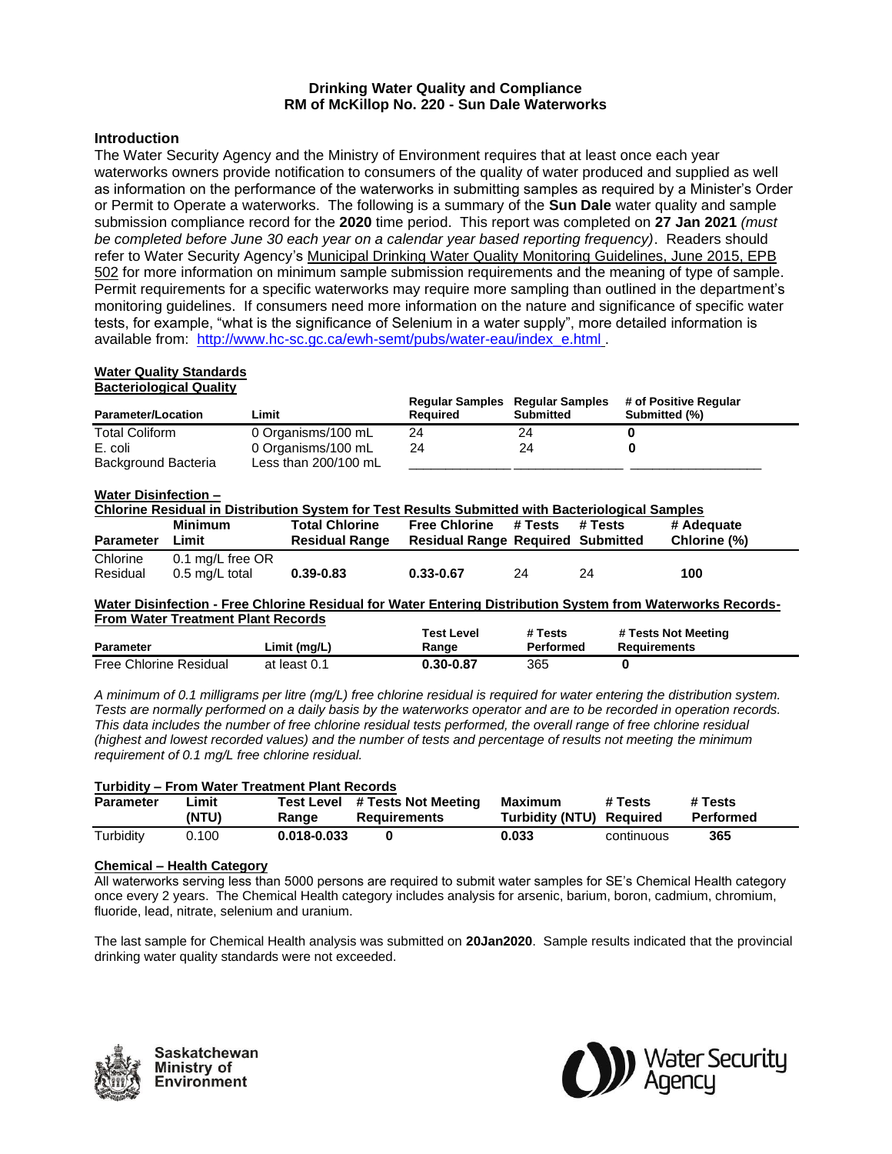## **Drinking Water Quality and Compliance RM of McKillop No. 220 - Sun Dale Waterworks**

## **Introduction**

The Water Security Agency and the Ministry of Environment requires that at least once each year waterworks owners provide notification to consumers of the quality of water produced and supplied as well as information on the performance of the waterworks in submitting samples as required by a Minister's Order or Permit to Operate a waterworks. The following is a summary of the **Sun Dale** water quality and sample submission compliance record for the **2020** time period. This report was completed on **27 Jan 2021** *(must be completed before June 30 each year on a calendar year based reporting frequency)*. Readers should refer to Water Security Agency's Municipal Drinking Water Quality Monitoring Guidelines, June 2015, EPB 502 for more information on minimum sample submission requirements and the meaning of type of sample. Permit requirements for a specific waterworks may require more sampling than outlined in the department's monitoring guidelines. If consumers need more information on the nature and significance of specific water tests, for example, "what is the significance of Selenium in a water supply", more detailed information is available from: [http://www.hc-sc.gc.ca/ewh-semt/pubs/water-eau/index\\_e.html](http://www.hc-sc.gc.ca/ewh-semt/pubs/water-eau/index_e.html) .

#### **Water Quality Standards Bacteriological Quality**

| <b>Parameter/Location</b>  | Limit                | <b>Regular Samples Regular Samples</b><br>Reauired | <b>Submitted</b> | # of Positive Regular<br>Submitted (%) |
|----------------------------|----------------------|----------------------------------------------------|------------------|----------------------------------------|
| <b>Total Coliform</b>      | 0 Organisms/100 mL   | 24                                                 | 24               |                                        |
| E. coli                    | 0 Organisms/100 mL   | 24                                                 | 24               |                                        |
| <b>Background Bacteria</b> | Less than 200/100 mL |                                                    |                  |                                        |

### **Water Disinfection –**

| Chlorine Residual in Distribution System for Test Results Submitted with Bacteriological Samples |                  |                       |                                          |         |         |              |  |
|--------------------------------------------------------------------------------------------------|------------------|-----------------------|------------------------------------------|---------|---------|--------------|--|
|                                                                                                  | Minimum          | <b>Total Chlorine</b> | <b>Free Chlorine</b>                     | # Tests | # Tests | # Adeguate   |  |
| <b>Parameter</b>                                                                                 | Limit            | <b>Residual Range</b> | <b>Residual Range Required Submitted</b> |         |         | Chlorine (%) |  |
| Chlorine                                                                                         | 0.1 mg/L free OR |                       |                                          |         |         |              |  |
| Residual                                                                                         | 0.5 mg/L total   | 0.39-0.83             | 0.33-0.67                                | 24      | 24      | 100          |  |

#### **Water Disinfection - Free Chlorine Residual for Water Entering Distribution System from Waterworks Records-From Water Treatment Plant Records**

|                               |              | Test Level | # Tests   | # Tests Not Meeting |
|-------------------------------|--------------|------------|-----------|---------------------|
| <b>Parameter</b>              | Limit (mg/L) | Range      | Performed | Requirements        |
| <b>Free Chlorine Residual</b> | at least 0.1 | 0.30-0.87  | 365       |                     |

*A minimum of 0.1 milligrams per litre (mg/L) free chlorine residual is required for water entering the distribution system. Tests are normally performed on a daily basis by the waterworks operator and are to be recorded in operation records. This data includes the number of free chlorine residual tests performed, the overall range of free chlorine residual (highest and lowest recorded values) and the number of tests and percentage of results not meeting the minimum requirement of 0.1 mg/L free chlorine residual.*

|                  |                | <b>Turbidity - From Water Treatment Plant Records</b> |                                            |                                     |            |                             |
|------------------|----------------|-------------------------------------------------------|--------------------------------------------|-------------------------------------|------------|-----------------------------|
| <b>Parameter</b> | .imit<br>(NTU) | Test Level<br>Ranɑe                                   | # Tests Not Meeting<br><b>Requirements</b> | Maximum<br>Turbidity (NTU) Required | # Tests    | # Tests<br><b>Performed</b> |
| Turbidity        | 0.100          | 0.018-0.033                                           |                                            | 0.033                               | continuous | 365                         |

## **Chemical – Health Category**

All waterworks serving less than 5000 persons are required to submit water samples for SE's Chemical Health category once every 2 years. The Chemical Health category includes analysis for arsenic, barium, boron, cadmium, chromium, fluoride, lead, nitrate, selenium and uranium.

The last sample for Chemical Health analysis was submitted on **20Jan2020**. Sample results indicated that the provincial drinking water quality standards were not exceeded.



Saskatchewan Ministry of Environment